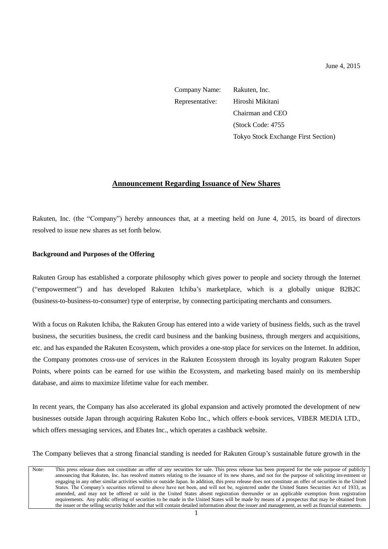Company Name: Rakuten, Inc. Representative: Hiroshi Mikitani Chairman and CEO (Stock Code: 4755 Tokyo Stock Exchange First Section)

# **Announcement Regarding Issuance of New Shares**

Rakuten, Inc. (the "Company") hereby announces that, at a meeting held on June 4, 2015, its board of directors resolved to issue new shares as set forth below.

### **Background and Purposes of the Offering**

Rakuten Group has established a corporate philosophy which gives power to people and society through the Internet ("empowerment") and has developed Rakuten Ichiba's marketplace, which is a globally unique B2B2C (business-to-business-to-consumer) type of enterprise, by connecting participating merchants and consumers.

With a focus on Rakuten Ichiba, the Rakuten Group has entered into a wide variety of business fields, such as the travel business, the securities business, the credit card business and the banking business, through mergers and acquisitions, etc. and has expanded the Rakuten Ecosystem, which provides a one-stop place for services on the Internet. In addition, the Company promotes cross-use of services in the Rakuten Ecosystem through its loyalty program Rakuten Super Points, where points can be earned for use within the Ecosystem, and marketing based mainly on its membership database, and aims to maximize lifetime value for each member.

In recent years, the Company has also accelerated its global expansion and actively promoted the development of new businesses outside Japan through acquiring Rakuten Kobo Inc., which offers e-book services, VIBER MEDIA LTD., which offers messaging services, and Ebates Inc., which operates a cashback website.

The Company believes that a strong financial standing is needed for Rakuten Group's sustainable future growth in the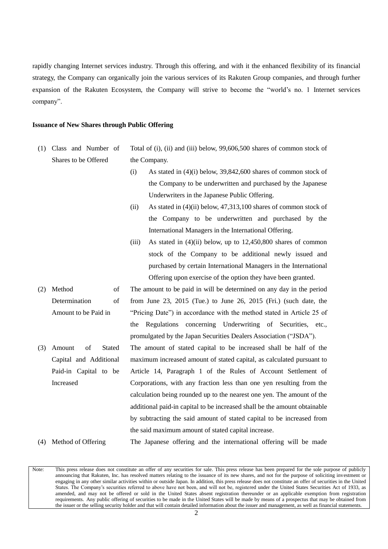rapidly changing Internet services industry. Through this offering, and with it the enhanced flexibility of its financial strategy, the Company can organically join the various services of its Rakuten Group companies, and through further expansion of the Rakuten Ecosystem, the Company will strive to become the "world's no. 1 Internet services company".

#### **Issuance of New Shares through Public Offering**

- (1) Class and Number of Shares to be Offered Total of (i), (ii) and (iii) below, 99,606,500 shares of common stock of the Company.
	- (i) As stated in (4)(i) below, 39,842,600 shares of common stock of the Company to be underwritten and purchased by the Japanese Underwriters in the Japanese Public Offering.
	- (ii) As stated in (4)(ii) below, 47,313,100 shares of common stock of the Company to be underwritten and purchased by the International Managers in the International Offering.
	- (iii) As stated in  $(4)$ (ii) below, up to  $12,450,800$  shares of common stock of the Company to be additional newly issued and purchased by certain International Managers in the International Offering upon exercise of the option they have been granted.
- (2) Method of Determination of Amount to be Paid in The amount to be paid in will be determined on any day in the period from June 23, 2015 (Tue.) to June 26, 2015 (Fri.) (such date, the "Pricing Date") in accordance with the method stated in Article 25 of the Regulations concerning Underwriting of Securities, etc., promulgated by the Japan Securities Dealers Association ("JSDA").
- (3) Amount of Stated Capital and Additional Paid-in Capital to be Increased The amount of stated capital to be increased shall be half of the maximum increased amount of stated capital, as calculated pursuant to Article 14, Paragraph 1 of the Rules of Account Settlement of Corporations, with any fraction less than one yen resulting from the calculation being rounded up to the nearest one yen. The amount of the additional paid-in capital to be increased shall be the amount obtainable by subtracting the said amount of stated capital to be increased from the said maximum amount of stated capital increase.

# (4) Method of Offering The Japanese offering and the international offering will be made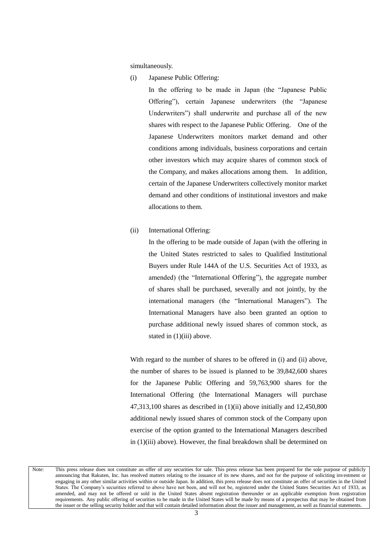simultaneously.

(i) Japanese Public Offering:

In the offering to be made in Japan (the "Japanese Public Offering"), certain Japanese underwriters (the "Japanese Underwriters") shall underwrite and purchase all of the new shares with respect to the Japanese Public Offering. One of the Japanese Underwriters monitors market demand and other conditions among individuals, business corporations and certain other investors which may acquire shares of common stock of the Company, and makes allocations among them. In addition, certain of the Japanese Underwriters collectively monitor market demand and other conditions of institutional investors and make allocations to them.

#### (ii) International Offering:

In the offering to be made outside of Japan (with the offering in the United States restricted to sales to Qualified Institutional Buyers under Rule 144A of the U.S. Securities Act of 1933, as amended) (the "International Offering"), the aggregate number of shares shall be purchased, severally and not jointly, by the international managers (the "International Managers"). The International Managers have also been granted an option to purchase additional newly issued shares of common stock, as stated in  $(1)(iii)$  above.

With regard to the number of shares to be offered in (i) and (ii) above, the number of shares to be issued is planned to be 39,842,600 shares for the Japanese Public Offering and 59,763,900 shares for the International Offering (the International Managers will purchase 47,313,100 shares as described in (1)(ii) above initially and 12,450,800 additional newly issued shares of common stock of the Company upon exercise of the option granted to the International Managers described in (1)(iii) above). However, the final breakdown shall be determined on

Note: This press release does not constitute an offer of any securities for sale. This press release has been prepared for the sole purpose of publicly announcing that Rakuten, Inc. has resolved matters relating to the issuance of its new shares, and not for the purpose of soliciting investment or engaging in any other similar activities within or outside Japan. In addition, this press release does not constitute an offer of securities in the United States. The Company's securities referred to above have not been, and will not be, registered under the United States Securities Act of 1933, as amended, and may not be offered or sold in the United States absent registration thereunder or an applicable exemption from registration requirements. Any public offering of securities to be made in the United States will be made by means of a prospectus that may be obtained from the issuer or the selling security holder and that will contain detailed information about the issuer and management, as well as financial statements.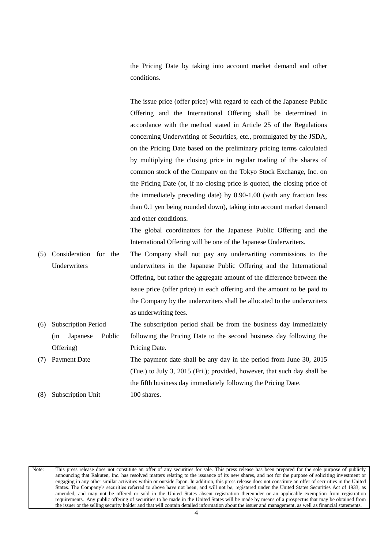the Pricing Date by taking into account market demand and other conditions.

The issue price (offer price) with regard to each of the Japanese Public Offering and the International Offering shall be determined in accordance with the method stated in Article 25 of the Regulations concerning Underwriting of Securities, etc., promulgated by the JSDA, on the Pricing Date based on the preliminary pricing terms calculated by multiplying the closing price in regular trading of the shares of common stock of the Company on the Tokyo Stock Exchange, Inc. on the Pricing Date (or, if no closing price is quoted, the closing price of the immediately preceding date) by 0.90-1.00 (with any fraction less than 0.1 yen being rounded down), taking into account market demand and other conditions.

The global coordinators for the Japanese Public Offering and the International Offering will be one of the Japanese Underwriters.

- (5) Consideration for the Underwriters The Company shall not pay any underwriting commissions to the underwriters in the Japanese Public Offering and the International Offering, but rather the aggregate amount of the difference between the issue price (offer price) in each offering and the amount to be paid to the Company by the underwriters shall be allocated to the underwriters as underwriting fees.
- (6) Subscription Period (in Japanese Public Offering) The subscription period shall be from the business day immediately following the Pricing Date to the second business day following the Pricing Date.
- (7) Payment Date The payment date shall be any day in the period from June 30, 2015 (Tue.) to July 3, 2015 (Fri.); provided, however, that such day shall be the fifth business day immediately following the Pricing Date. (8) Subscription Unit 100 shares.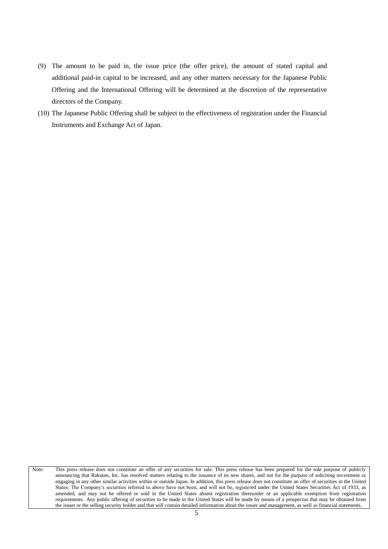- (9) The amount to be paid in, the issue price (the offer price), the amount of stated capital and additional paid-in capital to be increased, and any other matters necessary for the Japanese Public Offering and the International Offering will be determined at the discretion of the representative directors of the Company.
- (10) The Japanese Public Offering shall be subject to the effectiveness of registration under the Financial Instruments and Exchange Act of Japan.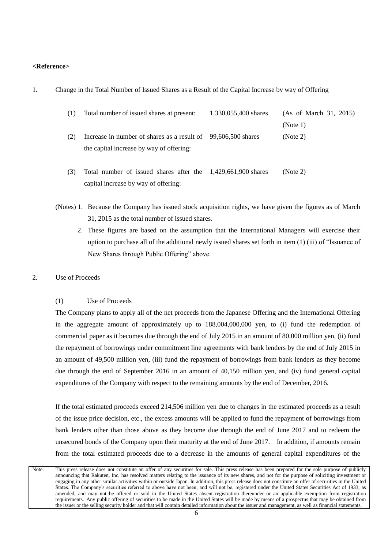### **<Reference>**

|  |  |  |  |  |  | Change in the Total Number of Issued Shares as a Result of the Capital Increase by way of Offering |  |
|--|--|--|--|--|--|----------------------------------------------------------------------------------------------------|--|
|--|--|--|--|--|--|----------------------------------------------------------------------------------------------------|--|

| (1) | Total number of issued shares at present:                     | 1,330,055,400 shares | (As of March 31, 2015) |
|-----|---------------------------------------------------------------|----------------------|------------------------|
|     |                                                               |                      | (Note 1)               |
| (2) | Increase in number of shares as a result of 99,606,500 shares |                      | (Note 2)               |
|     | the capital increase by way of offering:                      |                      |                        |
| (3) | Total number of issued shares after the 1,429,661,900 shares  |                      | (Note 2)               |
|     | capital increase by way of offering:                          |                      |                        |

- (Notes) 1. Because the Company has issued stock acquisition rights, we have given the figures as of March 31, 2015 as the total number of issued shares.
	- 2. These figures are based on the assumption that the International Managers will exercise their option to purchase all of the additional newly issued shares set forth in item (1) (iii) of "Issuance of New Shares through Public Offering" above.
- 2. Use of Proceeds

### (1) Use of Proceeds

The Company plans to apply all of the net proceeds from the Japanese Offering and the International Offering in the aggregate amount of approximately up to 188,004,000,000 yen, to (i) fund the redemption of commercial paper as it becomes due through the end of July 2015 in an amount of 80,000 million yen, (ii) fund the repayment of borrowings under commitment line agreements with bank lenders by the end of July 2015 in an amount of 49,500 million yen, (iii) fund the repayment of borrowings from bank lenders as they become due through the end of September 2016 in an amount of 40,150 million yen, and (iv) fund general capital expenditures of the Company with respect to the remaining amounts by the end of December, 2016.

If the total estimated proceeds exceed 214,506 million yen due to changes in the estimated proceeds as a result of the issue price decision, etc., the excess amounts will be applied to fund the repayment of borrowings from bank lenders other than those above as they become due through the end of June 2017 and to redeem the unsecured bonds of the Company upon their maturity at the end of June 2017. In addition, if amounts remain from the total estimated proceeds due to a decrease in the amounts of general capital expenditures of the

Note: This press release does not constitute an offer of any securities for sale. This press release has been prepared for the sole purpose of publicly announcing that Rakuten, Inc. has resolved matters relating to the issuance of its new shares, and not for the purpose of soliciting investment or engaging in any other similar activities within or outside Japan. In addition, this press release does not constitute an offer of securities in the United States. The Company's securities referred to above have not been, and will not be, registered under the United States Securities Act of 1933, as amended, and may not be offered or sold in the United States absent registration thereunder or an applicable exemption from registration requirements. Any public offering of securities to be made in the United States will be made by means of a prospectus that may be obtained from the issuer or the selling security holder and that will contain detailed information about the issuer and management, as well as financial statements.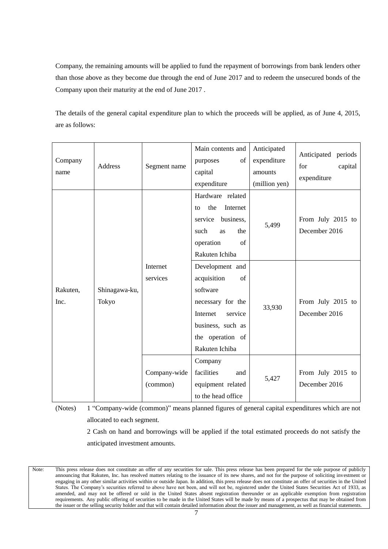Company, the remaining amounts will be applied to fund the repayment of borrowings from bank lenders other than those above as they become due through the end of June 2017 and to redeem the unsecured bonds of the Company upon their maturity at the end of June 2017 .

The details of the general capital expenditure plan to which the proceeds will be applied, as of June 4, 2015, are as follows:

| Company<br>name  | Address                | Segment name             | Main contents and<br>of<br>purposes<br>capital<br>expenditure                                                                                           | Anticipated<br>expenditure<br>amounts<br>(million yen) | Anticipated periods<br>capital<br>for<br>expenditure |
|------------------|------------------------|--------------------------|---------------------------------------------------------------------------------------------------------------------------------------------------------|--------------------------------------------------------|------------------------------------------------------|
|                  |                        |                          | Hardware related<br>the<br>Internet<br>to<br>service<br>business,<br>such<br>the<br>as<br>of<br>operation<br>Rakuten Ichiba                             | 5,499                                                  | From July 2015 to<br>December 2016                   |
| Rakuten,<br>Inc. | Shinagawa-ku,<br>Tokyo | Internet<br>services     | Development and<br>acquisition<br>of<br>software<br>necessary for the<br>Internet<br>service<br>business, such as<br>the operation of<br>Rakuten Ichiba | 33,930                                                 | From July 2015 to<br>December 2016                   |
|                  |                        | Company-wide<br>(common) | Company<br>facilities<br>and<br>equipment related<br>to the head office                                                                                 | 5,427                                                  | From July 2015 to<br>December 2016                   |

(Notes) 1 "Company-wide (common)" means planned figures of general capital expenditures which are not allocated to each segment.

2 Cash on hand and borrowings will be applied if the total estimated proceeds do not satisfy the anticipated investment amounts.